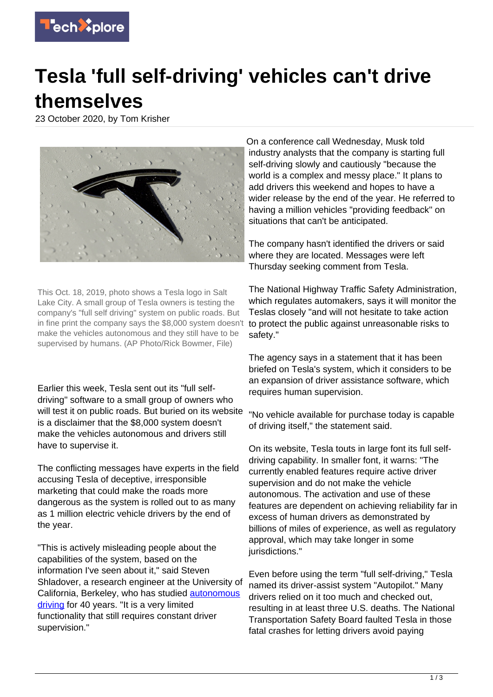

## **Tesla 'full self-driving' vehicles can't drive themselves**

23 October 2020, by Tom Krisher



This Oct. 18, 2019, photo shows a Tesla logo in Salt Lake City. A small group of Tesla owners is testing the company's "full self driving" system on public roads. But in fine print the company says the \$8,000 system doesn't make the vehicles autonomous and they still have to be supervised by humans. (AP Photo/Rick Bowmer, File)

Earlier this week, Tesla sent out its "full selfdriving" software to a small group of owners who will test it on public roads. But buried on its website is a disclaimer that the \$8,000 system doesn't make the vehicles autonomous and drivers still have to supervise it.

The conflicting messages have experts in the field accusing Tesla of deceptive, irresponsible marketing that could make the roads more dangerous as the system is rolled out to as many as 1 million electric vehicle drivers by the end of the year.

"This is actively misleading people about the capabilities of the system, based on the information I've seen about it," said Steven Shladover, a research engineer at the University of California, Berkeley, who has studied [autonomous](https://techxplore.com/tags/autonomous+driving/) [driving](https://techxplore.com/tags/autonomous+driving/) for 40 years. "It is a very limited functionality that still requires constant driver supervision."

On a conference call Wednesday, Musk told industry analysts that the company is starting full self-driving slowly and cautiously "because the world is a complex and messy place." It plans to add drivers this weekend and hopes to have a wider release by the end of the year. He referred to having a million vehicles "providing feedback" on situations that can't be anticipated.

The company hasn't identified the drivers or said where they are located. Messages were left Thursday seeking comment from Tesla.

The National Highway Traffic Safety Administration, which regulates automakers, says it will monitor the Teslas closely "and will not hesitate to take action to protect the public against unreasonable risks to safety."

The agency says in a statement that it has been briefed on Tesla's system, which it considers to be an expansion of driver assistance software, which requires human supervision.

"No vehicle available for purchase today is capable of driving itself," the statement said.

On its website, Tesla touts in large font its full selfdriving capability. In smaller font, it warns: "The currently enabled features require active driver supervision and do not make the vehicle autonomous. The activation and use of these features are dependent on achieving reliability far in excess of human drivers as demonstrated by billions of miles of experience, as well as regulatory approval, which may take longer in some jurisdictions."

Even before using the term "full self-driving," Tesla named its driver-assist system "Autopilot." Many drivers relied on it too much and checked out, resulting in at least three U.S. deaths. The National Transportation Safety Board faulted Tesla in those fatal crashes for letting drivers avoid paying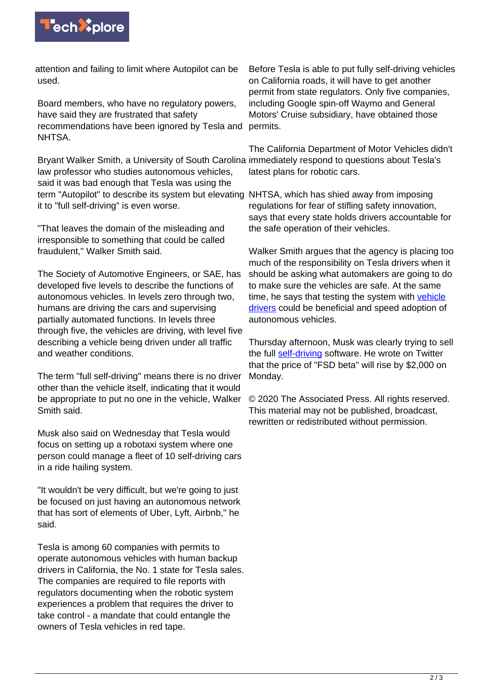

attention and failing to limit where Autopilot can be used.

Board members, who have no regulatory powers, have said they are frustrated that safety recommendations have been ignored by Tesla and NHTSA.

Bryant Walker Smith, a University of South Carolina immediately respond to questions about Tesla's law professor who studies autonomous vehicles, said it was bad enough that Tesla was using the term "Autopilot" to describe its system but elevating it to "full self-driving" is even worse.

"That leaves the domain of the misleading and irresponsible to something that could be called fraudulent," Walker Smith said.

The Society of Automotive Engineers, or SAE, has developed five levels to describe the functions of autonomous vehicles. In levels zero through two, humans are driving the cars and supervising partially automated functions. In levels three through five, the vehicles are driving, with level five describing a vehicle being driven under all traffic and weather conditions.

The term "full self-driving" means there is no driver other than the vehicle itself, indicating that it would be appropriate to put no one in the vehicle, Walker Smith said.

Musk also said on Wednesday that Tesla would focus on setting up a robotaxi system where one person could manage a fleet of 10 self-driving cars in a ride hailing system.

"It wouldn't be very difficult, but we're going to just be focused on just having an autonomous network that has sort of elements of Uber, Lyft, Airbnb," he said.

Tesla is among 60 companies with permits to operate autonomous vehicles with human backup drivers in California, the No. 1 state for Tesla sales. The companies are required to file reports with regulators documenting when the robotic system experiences a problem that requires the driver to take control - a mandate that could entangle the owners of Tesla vehicles in red tape.

Before Tesla is able to put fully self-driving vehicles on California roads, it will have to get another permit from state regulators. Only five companies, including Google spin-off Waymo and General Motors' Cruise subsidiary, have obtained those permits.

The California Department of Motor Vehicles didn't latest plans for robotic cars.

NHTSA, which has shied away from imposing regulations for fear of stifling safety innovation, says that every state holds drivers accountable for the safe operation of their vehicles.

Walker Smith argues that the agency is placing too much of the responsibility on Tesla drivers when it should be asking what automakers are going to do to make sure the vehicles are safe. At the same time, he says that testing the system with [vehicle](https://techxplore.com/tags/vehicle/) [drivers](https://techxplore.com/tags/drivers/) could be beneficial and speed adoption of autonomous vehicles.

Thursday afternoon, Musk was clearly trying to sell the full [self-driving](https://techxplore.com/tags/self-driving/) software. He wrote on Twitter that the price of "FSD beta" will rise by \$2,000 on Monday.

© 2020 The Associated Press. All rights reserved. This material may not be published, broadcast, rewritten or redistributed without permission.